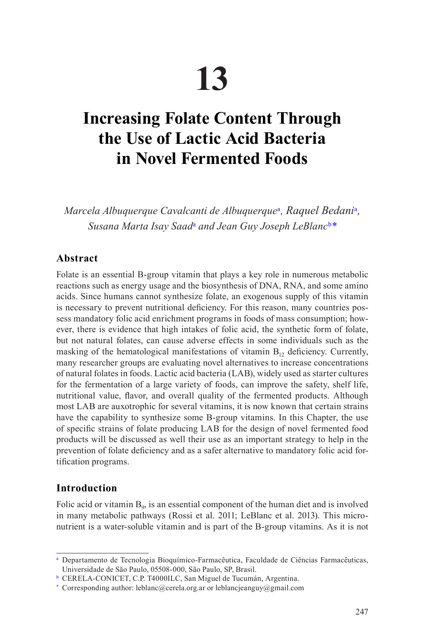# **13**

# **[Increasing Folate Content Through](#page--1-0)  the Use of Lactic Acid Bacteria in Novel Fermented Foods**

*Marcela Albuquerque Cavalcanti de Albuquerque*[a](#page--1-0)*, Raquel Bedani*[a](#page--1-0)*, Susana Marta Isay Saad*[a](#page--1-0)  *and Jean Guy Joseph LeBlanc*[b](#page--1-0) *[\\*](#page--1-0)*

# **Abstract**

Folate is an essential B-group vitamin that plays a key role in numerous metabolic reactions such as energy usage and the biosynthesis of DNA, RNA, and some amino acids. Since humans cannot synthesize folate, an exogenous supply of this vitamin is necessary to prevent nutritional deficiency. For this reason, many countries possess mandatory folic acid enrichment programs in foods of mass consumption; however, there is evidence that high intakes of folic acid, the synthetic form of folate, but not natural folates, can cause adverse effects in some individuals such as the masking of the hematological manifestations of vitamin  $B_{12}$  deficiency. Currently, many researcher groups are evaluating novel alternatives to increase concentrations of natural folates in foods. Lactic acid bacteria (LAB), widely used as starter cultures for the fermentation of a large variety of foods, can improve the safety, shelf life, nutritional value, flavor, and overall quality of the fermented products. Although most LAB are auxotrophic for several vitamins, it is now known that certain strains have the capability to synthesize some B-group vitamins. In this Chapter, the use of specific strains of folate producing LAB for the design of novel fermented food products will be discussed as well their use as an important strategy to help in the prevention of folate deficiency and as a safer alternative to mandatory folic acid fortification programs.

# **Introduction**

Folic acid or vitamin  $B_{9}$ , is an essential component of the human diet and is involved in many metabolic pathways (Rossi et al. 2011; LeBlanc et al. 2013). This micronutrient is a water-soluble vitamin and is part of the B-group vitamins. As it is not

[a](#page--1-0) Departamento de Tecnologia Bioquímico-Farmacêutica, Faculdade de Ciências Farmacêuticas, Universidade de São Paulo, 05508-000, São Paulo, SP, Brasil.

[b](#page--1-0) CERELA-CONICET, C.P. T4000ILC, San Miguel de Tucumán, Argentina.

[<sup>\\*</sup>](#page--1-0) Corresponding author: [leblanc@cerela.org.ar](mailto:leblanc@cerela.org.ar) or [leblancjeanguy@gmail.com](mailto:leblancjeanguy@gmail.com)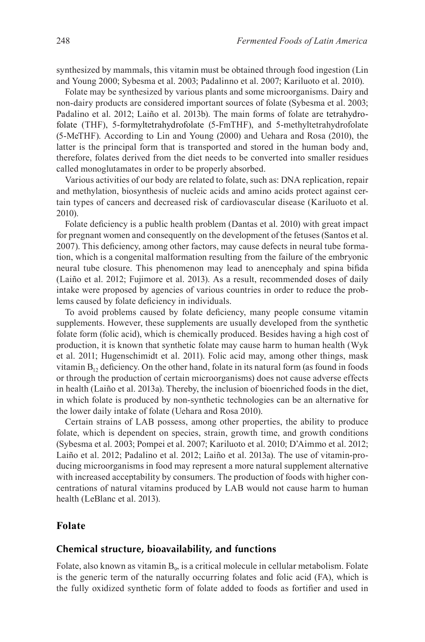synthesized by mammals, this vitamin must be obtained through food ingestion (Lin and Young 2000; Sybesma et al. 2003; Padalinno et al. 2007; Kariluoto et al. 2010).

Folate may be synthesized by various plants and some microorganisms. Dairy and non-dairy products are considered important sources of folate (Sybesma et al. 2003; Padalino et al. 2012; Laiño et al. 2013b). The main forms of folate are tetrahydrofolate (THF), 5-formyltetrahydrofolate (5-FmTHF), and 5-methyltetrahydrofolate (5-MeTHF). According to Lin and Young (2000) and Uehara and Rosa (2010), the latter is the principal form that is transported and stored in the human body and, therefore, folates derived from the diet needs to be converted into smaller residues called monoglutamates in order to be properly absorbed.

Various activities of our body are related to folate, such as: DNA replication, repair and methylation, biosynthesis of nucleic acids and amino acids protect against certain types of cancers and decreased risk of cardiovascular disease (Kariluoto et al. 2010).

Folate deficiency is a public health problem (Dantas et al. 2010) with great impact for pregnant women and consequently on the development of the fetuses (Santos et al. 2007). This deficiency, among other factors, may cause defects in neural tube formation, which is a congenital malformation resulting from the failure of the embryonic neural tube closure. This phenomenon may lead to anencephaly and spina bifida (Laiño et al. 2012; Fujimore et al. 2013). As a result, recommended doses of daily intake were proposed by agencies of various countries in order to reduce the problems caused by folate deficiency in individuals.

To avoid problems caused by folate deficiency, many people consume vitamin supplements. However, these supplements are usually developed from the synthetic folate form (folic acid), which is chemically produced. Besides having a high cost of production, it is known that synthetic folate may cause harm to human health (Wyk et al. 2011; Hugenschimidt et al. 2011). Folic acid may, among other things, mask vitamin  $B_{12}$  deficiency. On the other hand, folate in its natural form (as found in foods or through the production of certain microorganisms) does not cause adverse effects in health (Laiño et al. 2013a). Thereby, the inclusion of bioenriched foods in the diet, in which folate is produced by non-synthetic technologies can be an alternative for the lower daily intake of folate (Uehara and Rosa 2010).

Certain strains of LAB possess, among other properties, the ability to produce folate, which is dependent on species, strain, growth time, and growth conditions (Sybesma et al. 2003; Pompei et al. 2007; Kariluoto et al. 2010; D'Aimmo et al. 2012; Laiño et al. 2012; Padalino et al. 2012; Laiño et al. 2013a). The use of vitamin-producing microorganisms in food may represent a more natural supplement alternative with increased acceptability by consumers. The production of foods with higher concentrations of natural vitamins produced by LAB would not cause harm to human health (LeBlanc et al. 2013).

#### **Folate**

#### **Chemical structure, bioavailability, and functions**

Folate, also known as vitamin  $B_{9}$ , is a critical molecule in cellular metabolism. Folate is the generic term of the naturally occurring folates and folic acid (FA), which is the fully oxidized synthetic form of folate added to foods as fortifier and used in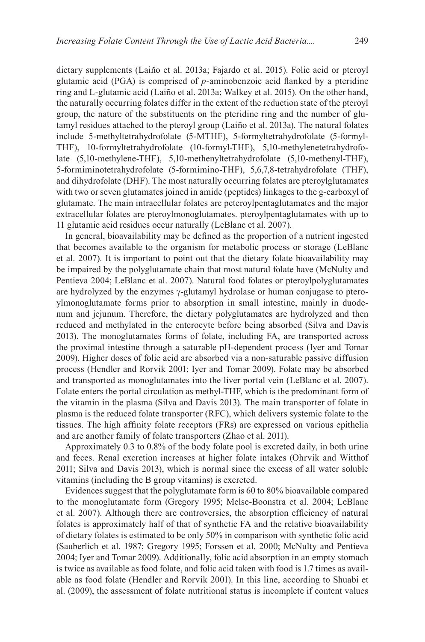dietary supplements (Laiño et al. 2013a; Fajardo et al. 2015). Folic acid or pteroyl glutamic acid (PGA) is comprised of *p*-aminobenzoic acid flanked by a pteridine ring and L-glutamic acid (Laiño et al. 2013a; Walkey et al. 2015). On the other hand, the naturally occurring folates differ in the extent of the reduction state of the pteroyl group, the nature of the substituents on the pteridine ring and the number of glutamyl residues attached to the pteroyl group (Laiño et al. 2013a). The natural folates include 5-methyltetrahydrofolate (5-MTHF), 5-formyltetrahydrofolate (5-formyl-THF), 10-formyltetrahydrofolate (10-formyl-THF), 5,10-methylenetetrahydrofolate (5,10-methylene-THF), 5,10-methenyltetrahydrofolate (5,10-methenyl-THF), 5-formiminotetrahydrofolate (5-formimino-THF), 5,6,7,8-tetrahydrofolate (THF), and dihydrofolate (DHF). The most naturally occurring folates are pteroylglutamates with two or seven glutamates joined in amide (peptides) linkages to the g-carboxyl of glutamate. The main intracellular folates are peteroylpentaglutamates and the major extracellular folates are pteroylmonoglutamates. pteroylpentaglutamates with up to 11 glutamic acid residues occur naturally (LeBlanc et al. 2007).

In general, bioavailability may be defined as the proportion of a nutrient ingested that becomes available to the organism for metabolic process or storage (LeBlanc et al. 2007). It is important to point out that the dietary folate bioavailability may be impaired by the polyglutamate chain that most natural folate have (McNulty and Pentieva 2004; LeBlanc et al. 2007). Natural food folates or pteroylpolyglutamates are hydrolyzed by the enzymes  $\gamma$ -glutamyl hydrolase or human conjugase to pteroylmonoglutamate forms prior to absorption in small intestine, mainly in duodenum and jejunum. Therefore, the dietary polyglutamates are hydrolyzed and then reduced and methylated in the enterocyte before being absorbed (Silva and Davis 2013). The monoglutamates forms of folate, including FA, are transported across the proximal intestine through a saturable pH-dependent process (Iyer and Tomar 2009). Higher doses of folic acid are absorbed via a non-saturable passive diffusion process (Hendler and Rorvik 2001; Iyer and Tomar 2009). Folate may be absorbed and transported as monoglutamates into the liver portal vein (LeBlanc et al. 2007). Folate enters the portal circulation as methyl-THF, which is the predominant form of the vitamin in the plasma (Silva and Davis 2013). The main transporter of folate in plasma is the reduced folate transporter (RFC), which delivers systemic folate to the tissues. The high affinity folate receptors (FRs) are expressed on various epithelia and are another family of folate transporters (Zhao et al. 2011).

Approximately 0.3 to 0.8% of the body folate pool is excreted daily, in both urine and feces. Renal excretion increases at higher folate intakes (Ohrvik and Witthof 2011; Silva and Davis 2013), which is normal since the excess of all water soluble vitamins (including the B group vitamins) is excreted.

Evidences suggest that the polyglutamate form is 60 to 80% bioavailable compared to the monoglutamate form (Gregory 1995; Melse-Boonstra et al. 2004; LeBlanc et al. 2007). Although there are controversies, the absorption efficiency of natural folates is approximately half of that of synthetic FA and the relative bioavailability of dietary folates is estimated to be only 50% in comparison with synthetic folic acid (Sauberlich et al. 1987; Gregory 1995; Forssen et al. 2000; McNulty and Pentieva 2004; Iyer and Tomar 2009). Additionally, folic acid absorption in an empty stomach is twice as available as food folate, and folic acid taken with food is 1.7 times as available as food folate (Hendler and Rorvik 2001). In this line, according to Shuabi et al. (2009), the assessment of folate nutritional status is incomplete if content values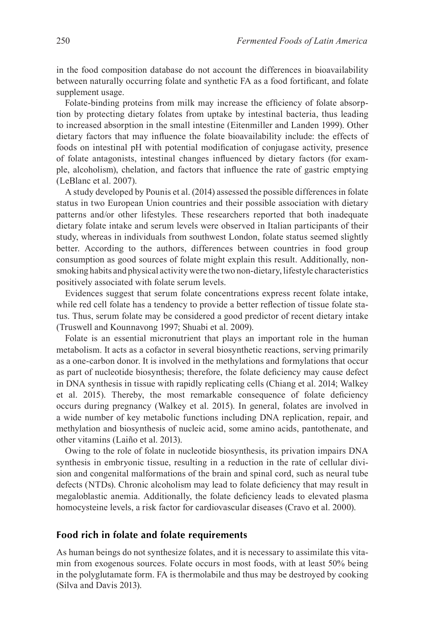in the food composition database do not account the differences in bioavailability between naturally occurring folate and synthetic FA as a food fortificant, and folate supplement usage.

Folate-binding proteins from milk may increase the efficiency of folate absorption by protecting dietary folates from uptake by intestinal bacteria, thus leading to increased absorption in the small intestine (Eitenmiller and Landen 1999). Other dietary factors that may influence the folate bioavailability include: the effects of foods on intestinal pH with potential modification of conjugase activity, presence of folate antagonists, intestinal changes influenced by dietary factors (for example, alcoholism), chelation, and factors that influence the rate of gastric emptying (LeBlanc et al. 2007).

A study developed by Pounis et al. (2014) assessed the possible differences in folate status in two European Union countries and their possible association with dietary patterns and/or other lifestyles. These researchers reported that both inadequate dietary folate intake and serum levels were observed in Italian participants of their study, whereas in individuals from southwest London, folate status seemed slightly better. According to the authors, differences between countries in food group consumption as good sources of folate might explain this result. Additionally, nonsmoking habits and physical activity were the two non-dietary, lifestyle characteristics positively associated with folate serum levels.

Evidences suggest that serum folate concentrations express recent folate intake, while red cell folate has a tendency to provide a better reflection of tissue folate status. Thus, serum folate may be considered a good predictor of recent dietary intake (Truswell and Kounnavong 1997; Shuabi et al. 2009).

Folate is an essential micronutrient that plays an important role in the human metabolism. It acts as a cofactor in several biosynthetic reactions, serving primarily as a one-carbon donor. It is involved in the methylations and formylations that occur as part of nucleotide biosynthesis; therefore, the folate deficiency may cause defect in DNA synthesis in tissue with rapidly replicating cells (Chiang et al. 2014; Walkey et al. 2015). Thereby, the most remarkable consequence of folate deficiency occurs during pregnancy (Walkey et al. 2015). In general, folates are involved in a wide number of key metabolic functions including DNA replication, repair, and methylation and biosynthesis of nucleic acid, some amino acids, pantothenate, and other vitamins (Laiño et al. 2013).

Owing to the role of folate in nucleotide biosynthesis, its privation impairs DNA synthesis in embryonic tissue, resulting in a reduction in the rate of cellular division and congenital malformations of the brain and spinal cord, such as neural tube defects (NTDs). Chronic alcoholism may lead to folate deficiency that may result in megaloblastic anemia. Additionally, the folate deficiency leads to elevated plasma homocysteine levels, a risk factor for cardiovascular diseases (Cravo et al. 2000).

#### **Food rich in folate and folate requirements**

As human beings do not synthesize folates, and it is necessary to assimilate this vitamin from exogenous sources. Folate occurs in most foods, with at least 50% being in the polyglutamate form. FA is thermolabile and thus may be destroyed by cooking (Silva and Davis 2013).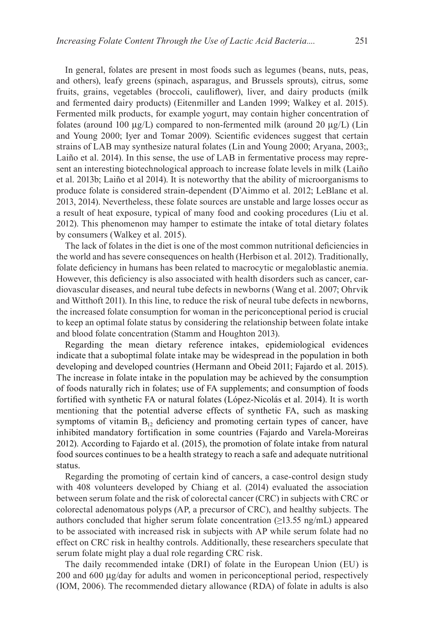In general, folates are present in most foods such as legumes (beans, nuts, peas, and others), leafy greens (spinach, asparagus, and Brussels sprouts), citrus, some fruits, grains, vegetables (broccoli, cauliflower), liver, and dairy products (milk and fermented dairy products) (Eitenmiller and Landen 1999; Walkey et al. 2015). Fermented milk products, for example yogurt, may contain higher concentration of folates (around 100  $\mu$ g/L) compared to non-fermented milk (around 20  $\mu$ g/L) (Lin and Young 2000; Iyer and Tomar 2009). Scientific evidences suggest that certain strains of LAB may synthesize natural folates (Lin and Young 2000; Aryana, 2003;, Laiño et al. 2014). In this sense, the use of LAB in fermentative process may represent an interesting biotechnological approach to increase folate levels in milk (Laiño et al. 2013b; Laiño et al 2014). It is noteworthy that the ability of microorganisms to produce folate is considered strain-dependent (D'Aimmo et al. 2012; LeBlanc et al. 2013, 2014). Nevertheless, these folate sources are unstable and large losses occur as a result of heat exposure, typical of many food and cooking procedures (Liu et al. 2012). This phenomenon may hamper to estimate the intake of total dietary folates by consumers (Walkey et al. 2015).

The lack of folates in the diet is one of the most common nutritional deficiencies in the world and has severe consequences on health (Herbison et al. 2012). Traditionally, folate deficiency in humans has been related to macrocytic or megaloblastic anemia. However, this deficiency is also associated with health disorders such as cancer, cardiovascular diseases, and neural tube defects in newborns (Wang et al. 2007; Ohrvik and Witthoft 2011). In this line, to reduce the risk of neural tube defects in newborns, the increased folate consumption for woman in the periconceptional period is crucial to keep an optimal folate status by considering the relationship between folate intake and blood folate concentration (Stamm and Houghton 2013).

Regarding the mean dietary reference intakes, epidemiological evidences indicate that a suboptimal folate intake may be widespread in the population in both developing and developed countries (Hermann and Obeid 2011; Fajardo et al. 2015). The increase in folate intake in the population may be achieved by the consumption of foods naturally rich in folates; use of FA supplements; and consumption of foods fortified with synthetic FA or natural folates (López-Nicolás et al. 2014). It is worth mentioning that the potential adverse effects of synthetic FA, such as masking symptoms of vitamin  $B_{12}$  deficiency and promoting certain types of cancer, have inhibited mandatory fortification in some countries (Fajardo and Varela-Moreiras 2012). According to Fajardo et al. (2015), the promotion of folate intake from natural food sources continues to be a health strategy to reach a safe and adequate nutritional status.

Regarding the promoting of certain kind of cancers, a case-control design study with 408 volunteers developed by Chiang et al. (2014) evaluated the association between serum folate and the risk of colorectal cancer (CRC) in subjects with CRC or colorectal adenomatous polyps (AP, a precursor of CRC), and healthy subjects. The authors concluded that higher serum folate concentration ( $\geq$ 13.55 ng/mL) appeared to be associated with increased risk in subjects with AP while serum folate had no effect on CRC risk in healthy controls. Additionally, these researchers speculate that serum folate might play a dual role regarding CRC risk.

The daily recommended intake (DRI) of folate in the European Union (EU) is 200 and 600 µg/day for adults and women in periconceptional period, respectively (IOM, 2006). The recommended dietary allowance (RDA) of folate in adults is also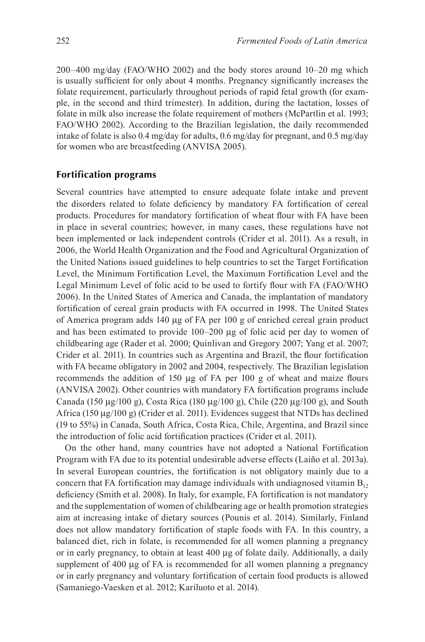200–400 mg/day (FAO/WHO 2002) and the body stores around 10–20 mg which is usually sufficient for only about 4 months. Pregnancy significantly increases the folate requirement, particularly throughout periods of rapid fetal growth (for example, in the second and third trimester). In addition, during the lactation, losses of folate in milk also increase the folate requirement of mothers (McPartlin et al. 1993; FAO/WHO 2002). According to the Brazilian legislation, the daily recommended intake of folate is also 0.4 mg/day for adults, 0.6 mg/day for pregnant, and 0.5 mg/day for women who are breastfeeding (ANVISA 2005).

# **Fortification programs**

Several countries have attempted to ensure adequate folate intake and prevent the disorders related to folate deficiency by mandatory FA fortification of cereal products. Procedures for mandatory fortification of wheat flour with FA have been in place in several countries; however, in many cases, these regulations have not been implemented or lack independent controls (Crider et al. 2011). As a result, in 2006, the World Health Organization and the Food and Agricultural Organization of the United Nations issued guidelines to help countries to set the Target Fortification Level, the Minimum Fortification Level, the Maximum Fortification Level and the Legal Minimum Level of folic acid to be used to fortify flour with FA (FAO/WHO 2006). In the United States of America and Canada, the implantation of mandatory fortification of cereal grain products with FA occurred in 1998. The United States of America program adds 140 µg of FA per 100 g of enriched cereal grain product and has been estimated to provide 100–200 µg of folic acid per day to women of childbearing age (Rader et al. 2000; Quinlivan and Gregory 2007; Yang et al. 2007; Crider et al. 2011). In countries such as Argentina and Brazil, the flour fortification with FA became obligatory in 2002 and 2004, respectively. The Brazilian legislation recommends the addition of 150 µg of FA per 100 g of wheat and maize flours (ANVISA 2002). Other countries with mandatory FA fortification programs include Canada (150  $\mu$ g/100 g), Costa Rica (180  $\mu$ g/100 g), Chile (220  $\mu$ g/100 g), and South Africa (150  $\mu$ g/100 g) (Crider et al. 2011). Evidences suggest that NTDs has declined (19 to 55%) in Canada, South Africa, Costa Rica, Chile, Argentina, and Brazil since the introduction of folic acid fortification practices (Crider et al. 2011).

On the other hand, many countries have not adopted a National Fortification Program with FA due to its potential undesirable adverse effects (Laiño et al. 2013a). In several European countries, the fortification is not obligatory mainly due to a concern that FA fortification may damage individuals with undiagnosed vitamin  $B_{12}$ deficiency (Smith et al. 2008). In Italy, for example, FA fortification is not mandatory and the supplementation of women of childbearing age or health promotion strategies aim at increasing intake of dietary sources (Pounis et al. 2014). Similarly, Finland does not allow mandatory fortification of staple foods with FA. In this country, a balanced diet, rich in folate, is recommended for all women planning a pregnancy or in early pregnancy, to obtain at least 400 µg of folate daily. Additionally, a daily supplement of 400 µg of FA is recommended for all women planning a pregnancy or in early pregnancy and voluntary fortification of certain food products is allowed (Samaniego-Vaesken et al. 2012; Kariluoto et al. 2014).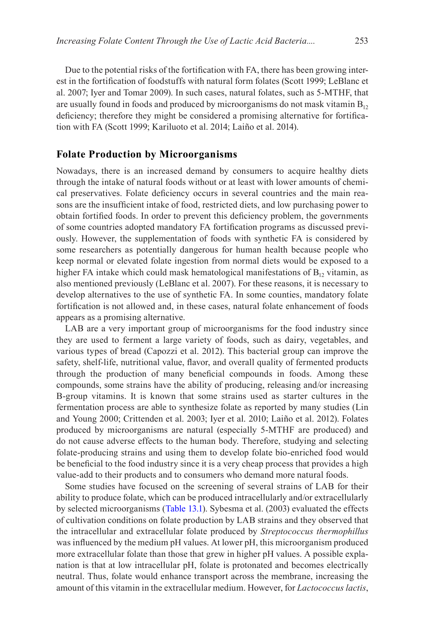Due to the potential risks of the fortification with FA, there has been growing interest in the fortification of foodstuffs with natural form folates (Scott 1999; LeBlanc et al. 2007; Iyer and Tomar 2009). In such cases, natural folates, such as 5-MTHF, that are usually found in foods and produced by microorganisms do not mask vitamin  $B_{12}$ deficiency; therefore they might be considered a promising alternative for fortification with FA (Scott 1999; Kariluoto et al. 2014; Laiño et al. 2014).

# **Folate Production by Microorganisms**

Nowadays, there is an increased demand by consumers to acquire healthy diets through the intake of natural foods without or at least with lower amounts of chemical preservatives. Folate deficiency occurs in several countries and the main reasons are the insufficient intake of food, restricted diets, and low purchasing power to obtain fortified foods. In order to prevent this deficiency problem, the governments of some countries adopted mandatory FA fortification programs as discussed previously. However, the supplementation of foods with synthetic FA is considered by some researchers as potentially dangerous for human health because people who keep normal or elevated folate ingestion from normal diets would be exposed to a higher FA intake which could mask hematological manifestations of  $B_{12}$  vitamin, as also mentioned previously (LeBlanc et al. 2007). For these reasons, it is necessary to develop alternatives to the use of synthetic FA. In some counties, mandatory folate fortification is not allowed and, in these cases, natural folate enhancement of foods appears as a promising alternative.

LAB are a very important group of microorganisms for the food industry since they are used to ferment a large variety of foods, such as dairy, vegetables, and various types of bread (Capozzi et al. 2012). This bacterial group can improve the safety, shelf-life, nutritional value, flavor, and overall quality of fermented products through the production of many beneficial compounds in foods. Among these compounds, some strains have the ability of producing, releasing and/or increasing B-group vitamins. It is known that some strains used as starter cultures in the fermentation process are able to synthesize folate as reported by many studies (Lin and Young 2000; Crittenden et al. 2003; Iyer et al. 2010; Laiño et al. 2012). Folates produced by microorganisms are natural (especially 5-MTHF are produced) and do not cause adverse effects to the human body. Therefore, studying and selecting folate-producing strains and using them to develop folate bio-enriched food would be beneficial to the food industry since it is a very cheap process that provides a high value-add to their products and to consumers who demand more natural foods.

Some studies have focused on the screening of several strains of LAB for their ability to produce folate, which can be produced intracellularly and/or extracellularly by selected microorganisms ([Table 13.1](#page--1-0)). Sybesma et al. (2003) evaluated the effects of cultivation conditions on folate production by LAB strains and they observed that the intracellular and extracellular folate produced by *Streptococcus thermophillus* was influenced by the medium pH values. At lower pH, this microorganism produced more extracellular folate than those that grew in higher pH values. A possible explanation is that at low intracellular pH, folate is protonated and becomes electrically neutral. Thus, folate would enhance transport across the membrane, increasing the amount of this vitamin in the extracellular medium. However, for *Lactococcus lactis*,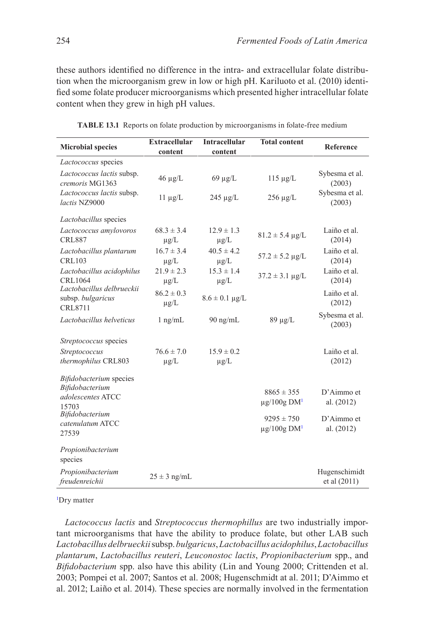these authors identified no difference in the intra- and extracellular folate distribution when the microorganism grew in low or high pH. Kariluoto et al. (2010) identified some folate producer microorganisms which presented higher intracellular folate content when they grew in high pH values.

| <b>Microbial species</b>                                         | <b>Extracellular</b>        | <b>Intracellular</b><br>content | <b>Total content</b>         | Reference                     |
|------------------------------------------------------------------|-----------------------------|---------------------------------|------------------------------|-------------------------------|
| Lactococcus species                                              | content                     |                                 |                              |                               |
| Lactococcus lactis subsp.<br>cremoris MG1363                     | $46 \mu g/L$                | $69 \mu g/L$                    | $115 \mu g/L$                | Sybesma et al.<br>(2003)      |
| Lactococcus lactis subsp.<br>lactis NZ9000                       | $11 \mu g/L$                | $245 \mu g/L$                   | $256 \mu g/L$                | Sybesma et al.<br>(2003)      |
| Lactobacillus species                                            |                             |                                 |                              |                               |
| Lactococcus amylovoros<br><b>CRL887</b>                          | $68.3 \pm 3.4$<br>$\mu$ g/L | $12.9 \pm 1.3$<br>$\mu$ g/L     | $81.2 \pm 5.4 \text{ µg/L}$  | Laiño et al.<br>(2014)        |
| Lactobacillus plantarum<br><b>CRL103</b>                         | $16.7 \pm 3.4$<br>$\mu$ g/L | $40.5 \pm 4.2$<br>$\mu g/L$     | $57.2 \pm 5.2 \,\mu g/L$     | Laiño et al.<br>(2014)        |
| Lactobacillus acidophilus<br>CRL1064                             | $21.9 \pm 2.3$<br>$\mu$ g/L | $15.3 \pm 1.4$<br>$\mu g/L$     | $37.2 \pm 3.1 \text{ µg/L}$  | Laiño et al.<br>(2014)        |
| Lactobacillus delbrueckii<br>subsp. bulgaricus<br><b>CRL8711</b> | $86.2 \pm 0.3$<br>$\mu g/L$ | $8.6 \pm 0.1 \mu g/L$           |                              | Laiño et al.<br>(2012)        |
| Lactobacillus helveticus                                         | $1$ ng/mL                   | $90$ ng/mL                      | 89 μg/L                      | Sybesma et al.<br>(2003)      |
| Streptococcus species                                            |                             |                                 |                              |                               |
| Streptococcus                                                    | $76.6 \pm 7.0$              | $15.9 \pm 0.2$                  |                              | Laiño et al.                  |
| thermophilus CRL803                                              | $\mu$ g/L                   | $\mu$ g/L                       |                              | (2012)                        |
| Bifidobacterium species                                          |                             |                                 |                              |                               |
| Bifidobacterium                                                  |                             |                                 | $8865 \pm 355$               | D'Aimmo et                    |
| adolescentes ATCC<br>15703                                       |                             |                                 | $\mu$ g/100g DM <sup>1</sup> | al. $(2012)$                  |
| Bifidobacterium                                                  |                             |                                 | $9295 \pm 750$               | D'Aimmo et                    |
| catenulatum ATCC<br>27539                                        |                             |                                 | $\mu$ g/100g DM <sup>1</sup> | al. (2012)                    |
|                                                                  |                             |                                 |                              |                               |
| Propionibacterium<br>species                                     |                             |                                 |                              |                               |
| Propionibacterium<br>freudenreichii                              | $25 \pm 3$ ng/mL            |                                 |                              | Hugenschimidt<br>et al (2011) |

**TABLE 13.1** Reports on folate production by microorganisms in folate-free medium

[1D](#page--1-0)ry matter

*Lactococcus lactis* and *Streptococcus thermophillus* are two industrially important microorganisms that have the ability to produce folate, but other LAB such *Lactobacillus delbrueckii* subsp. *bulgaricus*, *Lactobacillus acidophilus*, *Lactobacillus plantarum*, *Lactobacillus reuteri*, *Leuconostoc lactis*, *Propionibacterium* spp., and *Bifidobacterium* spp. also have this ability (Lin and Young 2000; Crittenden et al. 2003; Pompei et al. 2007; Santos et al. 2008; Hugenschmidt at al. 2011; D'Aimmo et al. 2012; Laiño et al. 2014). These species are normally involved in the fermentation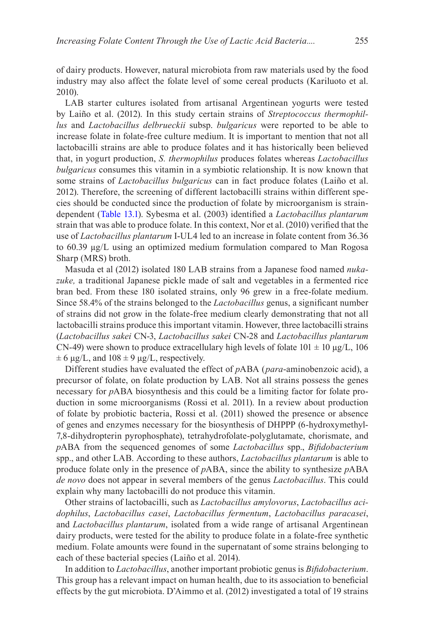of dairy products. However, natural microbiota from raw materials used by the food industry may also affect the folate level of some cereal products (Kariluoto et al. 2010).

LAB starter cultures isolated from artisanal Argentinean yogurts were tested by Laiño et al. (2012). In this study certain strains of *Streptococcus thermophillus* and *Lactobacillus delbrueckii* subsp. *bulgaricus* were reported to be able to increase folate in folate-free culture medium. It is important to mention that not all lactobacilli strains are able to produce folates and it has historically been believed that, in yogurt production, *S. thermophilus* produces folates whereas *Lactobacillus bulgaricus* consumes this vitamin in a symbiotic relationship. It is now known that some strains of *Lactobacillus bulgaricus* can in fact produce folates (Laiño et al. 2012). Therefore, the screening of different lactobacilli strains within different species should be conducted since the production of folate by microorganism is straindependent ([Table 13.1](#page--1-0)). Sybesma et al. (2003) identified a *Lactobacillus plantarum* strain that was able to produce folate. In this context, Nor et al. (2010) verified that the use of *Lactobacillus plantarum* I-UL4 led to an increase in folate content from 36.36 to 60.39 µg/L using an optimized medium formulation compared to Man Rogosa Sharp (MRS) broth.

Masuda et al (2012) isolated 180 LAB strains from a Japanese food named *nukazuke,* a traditional Japanese pickle made of salt and vegetables in a fermented rice bran bed. From these 180 isolated strains, only 96 grew in a free-folate medium. Since 58.4% of the strains belonged to the *Lactobacillus* genus, a significant number of strains did not grow in the folate-free medium clearly demonstrating that not all lactobacilli strains produce this important vitamin. However, three lactobacilli strains (*Lactobacillus sakei* CN-3, *Lactobacillus sakei* CN-28 and *Lactobacillus plantarum* CN-49) were shown to produce extracellulary high levels of folate  $101 \pm 10 \,\mu g/L$ , 106  $\pm$  6 µg/L, and 108  $\pm$  9 µg/L, respectively.

Different studies have evaluated the effect of *p*ABA (*para*-aminobenzoic acid), a precursor of folate, on folate production by LAB. Not all strains possess the genes necessary for *p*ABA biosynthesis and this could be a limiting factor for folate production in some microorganisms (Rossi et al. 2011). In a review about production of folate by probiotic bacteria, Rossi et al. (2011) showed the presence or absence of genes and enzymes necessary for the biosynthesis of DHPPP (6-hydroxymethyl-7,8-dihydropterin pyrophosphate), tetrahydrofolate-polyglutamate, chorismate, and *p*ABA from the sequenced genomes of some *Lactobacillus* spp., *Bifidobacterium*  spp., and other LAB. According to these authors, *Lactobacillus plantarum* is able to produce folate only in the presence of *p*ABA, since the ability to synthesize *p*ABA *de novo* does not appear in several members of the genus *Lactobacillus*. This could explain why many lactobacilli do not produce this vitamin.

Other strains of lactobacilli, such as *Lactobacillus amylovorus*, *Lactobacillus acidophilus*, *Lactobacillus casei*, *Lactobacillus fermentum*, *Lactobacillus paracasei*, and *Lactobacillus plantarum*, isolated from a wide range of artisanal Argentinean dairy products, were tested for the ability to produce folate in a folate-free synthetic medium. Folate amounts were found in the supernatant of some strains belonging to each of these bacterial species (Laiño et al. 2014).

In addition to *Lactobacillus*, another important probiotic genus is *Bifidobacterium*. This group has a relevant impact on human health, due to its association to beneficial effects by the gut microbiota. D'Aimmo et al. (2012) investigated a total of 19 strains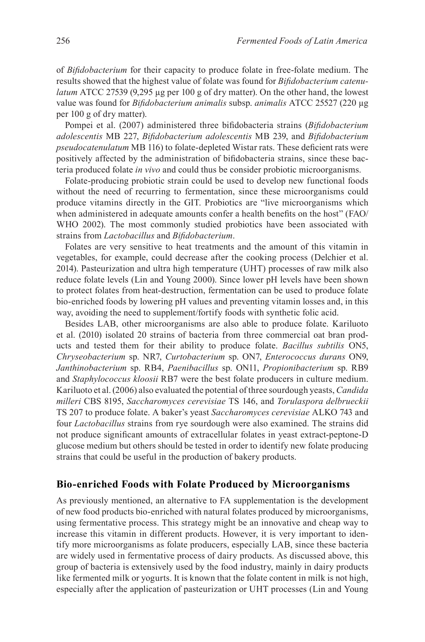of *Bifidobacterium* for their capacity to produce folate in free-folate medium. The results showed that the highest value of folate was found for *Bifidobacterium catenulatum* ATCC 27539 (9,295 µg per 100 g of dry matter). On the other hand, the lowest value was found for *Bifidobacterium animalis* subsp. *animalis* ATCC 25527 (220 µg per 100 g of dry matter).

Pompei et al. (2007) administered three bifidobacteria strains (*Bifidobacterium adolescentis* MB 227, *Bifidobacterium adolescentis* MB 239, and *Bifidobacterium pseudocatenulatum* MB 116) to folate-depleted Wistar rats. These deficient rats were positively affected by the administration of bifidobacteria strains, since these bacteria produced folate *in vivo* and could thus be consider probiotic microorganisms.

Folate-producing probiotic strain could be used to develop new functional foods without the need of recurring to fermentation, since these microorganisms could produce vitamins directly in the GIT. Probiotics are "live microorganisms which when administered in adequate amounts confer a health benefits on the host" (FAO/ WHO 2002). The most commonly studied probiotics have been associated with strains from *Lactobacillus* and *Bifidobacterium*.

Folates are very sensitive to heat treatments and the amount of this vitamin in vegetables, for example, could decrease after the cooking process (Delchier et al. 2014). Pasteurization and ultra high temperature (UHT) processes of raw milk also reduce folate levels (Lin and Young 2000). Since lower pH levels have been shown to protect folates from heat-destruction, fermentation can be used to produce folate bio-enriched foods by lowering pH values and preventing vitamin losses and, in this way, avoiding the need to supplement/fortify foods with synthetic folic acid.

Besides LAB, other microorganisms are also able to produce folate. Kariluoto et al. (2010) isolated 20 strains of bacteria from three commercial oat bran products and tested them for their ability to produce folate. *Bacillus subtilis* ON5, *Chryseobacterium* sp. NR7, *Curtobacterium* sp. ON7, *Enterococcus durans* ON9, *Janthinobacterium* sp. RB4, *Paenibacillus* sp. ON11, *Propionibacterium* sp. RB9 and *Staphylococcus kloosii* RB7 were the best folate producers in culture medium. Kariluoto et al. (2006) also evaluated the potential of three sourdough yeasts, *Candida milleri* CBS 8195, *Saccharomyces cerevisiae* TS 146, and *Torulaspora delbrueckii* TS 207 to produce folate. A baker's yeast *Saccharomyces cerevisiae* ALKO 743 and four *Lactobacillus* strains from rye sourdough were also examined. The strains did not produce significant amounts of extracellular folates in yeast extract-peptone-D glucose medium but others should be tested in order to identify new folate producing strains that could be useful in the production of bakery products.

#### **Bio-enriched Foods with Folate Produced by Microorganisms**

As previously mentioned, an alternative to FA supplementation is the development of new food products bio-enriched with natural folates produced by microorganisms, using fermentative process. This strategy might be an innovative and cheap way to increase this vitamin in different products. However, it is very important to identify more microorganisms as folate producers, especially LAB, since these bacteria are widely used in fermentative process of dairy products. As discussed above, this group of bacteria is extensively used by the food industry, mainly in dairy products like fermented milk or yogurts. It is known that the folate content in milk is not high, especially after the application of pasteurization or UHT processes (Lin and Young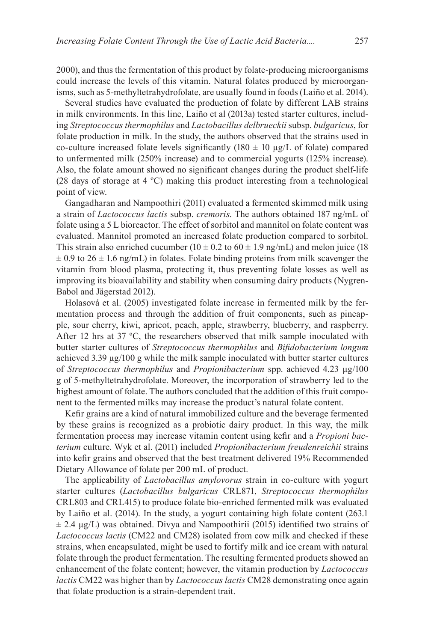2000), and thus the fermentation of this product by folate-producing microorganisms could increase the levels of this vitamin. Natural folates produced by microorganisms, such as 5-methyltetrahydrofolate, are usually found in foods (Laiño et al. 2014).

Several studies have evaluated the production of folate by different LAB strains in milk environments. In this line, Laiño et al (2013a) tested starter cultures, including *Streptococcus thermophilus* and *Lactobacillus delbrueckii* subsp. *bulgaricus*, for folate production in milk. In the study, the authors observed that the strains used in co-culture increased folate levels significantly (180  $\pm$  10  $\mu$ g/L of folate) compared to unfermented milk (250% increase) and to commercial yogurts (125% increase). Also, the folate amount showed no significant changes during the product shelf-life (28 days of storage at 4 ºC) making this product interesting from a technological point of view.

Gangadharan and Nampoothiri (2011) evaluated a fermented skimmed milk using a strain of *Lactococcus lactis* subsp. *cremoris*. The authors obtained 187 ng/mL of folate using a 5 L bioreactor. The effect of sorbitol and mannitol on folate content was evaluated. Mannitol promoted an increased folate production compared to sorbitol. This strain also enriched cucumber ( $10 \pm 0.2$  to  $60 \pm 1.9$  ng/mL) and melon juice (18)  $\pm$  0.9 to 26  $\pm$  1.6 ng/mL) in folates. Folate binding proteins from milk scavenger the vitamin from blood plasma, protecting it, thus preventing folate losses as well as improving its bioavailability and stability when consuming dairy products (Nygren-Babol and Jägerstad 2012).

Holasová et al. (2005) investigated folate increase in fermented milk by the fermentation process and through the addition of fruit components, such as pineapple, sour cherry, kiwi, apricot, peach, apple, strawberry, blueberry, and raspberry. After 12 hrs at 37 ºC, the researchers observed that milk sample inoculated with butter starter cultures of *Streptococcus thermophilus* and *Bifidobacterium longum* achieved 3.39 µg/100 g while the milk sample inoculated with butter starter cultures of *Streptococcus thermophilus* and *Propionibacterium* spp. achieved 4.23 µg/100 g of 5-methyltetrahydrofolate. Moreover, the incorporation of strawberry led to the highest amount of folate. The authors concluded that the addition of this fruit component to the fermented milks may increase the product's natural folate content.

Kefir grains are a kind of natural immobilized culture and the beverage fermented by these grains is recognized as a probiotic dairy product. In this way, the milk fermentation process may increase vitamin content using kefir and a *Propioni bacterium* culture. Wyk et al. (2011) included *Propionibacterium freudenreichii* strains into kefir grains and observed that the best treatment delivered 19% Recommended Dietary Allowance of folate per 200 mL of product.

The applicability of *Lactobacillus amylovorus* strain in co-culture with yogurt starter cultures (*Lactobacillus bulgaricus* CRL871, *Streptococcus thermophilus* CRL803 and CRL415) to produce folate bio-enriched fermented milk was evaluated by Laiño et al. (2014). In the study, a yogurt containing high folate content (263.1  $\pm$  2.4  $\mu$ g/L) was obtained. Divya and Nampoothirii (2015) identified two strains of *Lactococcus lactis* (CM22 and CM28) isolated from cow milk and checked if these strains, when encapsulated, might be used to fortify milk and ice cream with natural folate through the product fermentation. The resulting fermented products showed an enhancement of the folate content; however, the vitamin production by *Lactococcus lactis* CM22 was higher than by *Lactococcus lactis* CM28 demonstrating once again that folate production is a strain-dependent trait.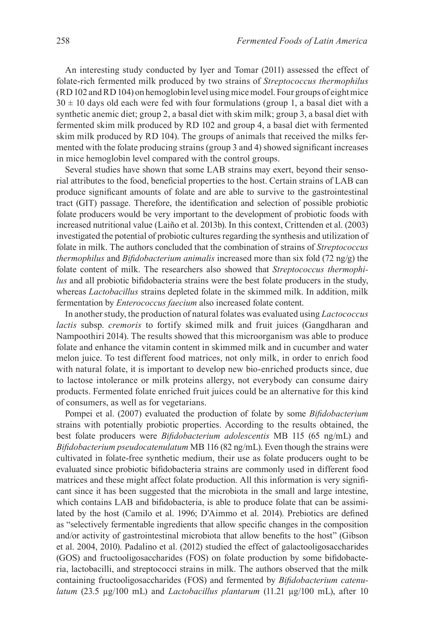An interesting study conducted by Iyer and Tomar (2011) assessed the effect of folate-rich fermented milk produced by two strains of *Streptococcus thermophilus* (RD 102 and RD 104) on hemoglobin level using mice model. Four groups of eight mice  $30 \pm 10$  days old each were fed with four formulations (group 1, a basal diet with a synthetic anemic diet; group 2, a basal diet with skim milk; group 3, a basal diet with fermented skim milk produced by RD 102 and group 4, a basal diet with fermented skim milk produced by RD 104). The groups of animals that received the milks fermented with the folate producing strains (group 3 and 4) showed significant increases in mice hemoglobin level compared with the control groups.

Several studies have shown that some LAB strains may exert, beyond their sensorial attributes to the food, beneficial properties to the host. Certain strains of LAB can produce significant amounts of folate and are able to survive to the gastrointestinal tract (GIT) passage. Therefore, the identification and selection of possible probiotic folate producers would be very important to the development of probiotic foods with increased nutritional value (Laiño et al. 2013b). In this context, Crittenden et al. (2003) investigated the potential of probiotic cultures regarding the synthesis and utilization of folate in milk. The authors concluded that the combination of strains of *Streptococcus thermophilus* and *Bifidobacterium animalis* increased more than six fold (72 ng/g) the folate content of milk. The researchers also showed that *Streptococcus thermophilus* and all probiotic bifidobacteria strains were the best folate producers in the study, whereas *Lactobacillus* strains depleted folate in the skimmed milk. In addition, milk fermentation by *Enterococcus faecium* also increased folate content.

In another study, the production of natural folates was evaluated using *Lactococcus lactis* subsp. *cremoris* to fortify skimed milk and fruit juices (Gangdharan and Nampoothiri 2014). The results showed that this microorganism was able to produce folate and enhance the vitamin content in skimmed milk and in cucumber and water melon juice. To test different food matrices, not only milk, in order to enrich food with natural folate, it is important to develop new bio-enriched products since, due to lactose intolerance or milk proteins allergy, not everybody can consume dairy products. Fermented folate enriched fruit juices could be an alternative for this kind of consumers, as well as for vegetarians.

Pompei et al. (2007) evaluated the production of folate by some *Bifidobacterium*  strains with potentially probiotic properties. According to the results obtained, the best folate producers were *Bifidobacterium adolescentis* MB 115 (65 ng/mL) and *Bifidobacterium pseudocatenulatum* MB 116 (82 ng/mL). Even though the strains were cultivated in folate-free synthetic medium, their use as folate producers ought to be evaluated since probiotic bifidobacteria strains are commonly used in different food matrices and these might affect folate production. All this information is very significant since it has been suggested that the microbiota in the small and large intestine, which contains LAB and bifidobacteria, is able to produce folate that can be assimilated by the host (Camilo et al. 1996; D'Aimmo et al. 2014). Prebiotics are defined as "selectively fermentable ingredients that allow specific changes in the composition and/or activity of gastrointestinal microbiota that allow benefits to the host" (Gibson et al. 2004, 2010). Padalino et al. (2012) studied the effect of galactooligosaccharides (GOS) and fructooligosaccharides (FOS) on folate production by some bifidobacteria, lactobacilli, and streptococci strains in milk. The authors observed that the milk containing fructooligosaccharides (FOS) and fermented by *Bifidobacterium catenulatum* (23.5 µg/100 mL) and *Lactobacillus plantarum* (11.21 µg/100 mL), after 10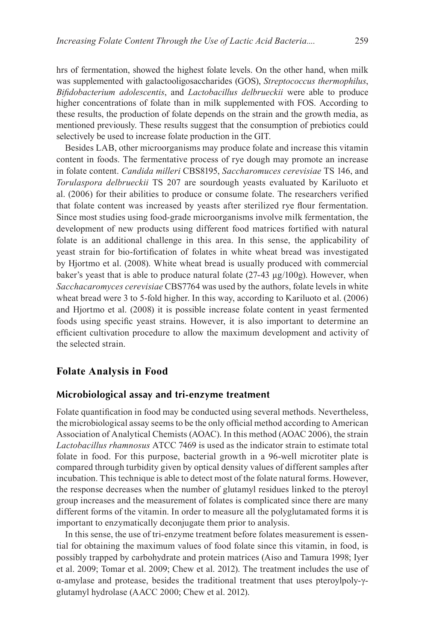hrs of fermentation, showed the highest folate levels. On the other hand, when milk was supplemented with galactooligosaccharides (GOS), *Streptococcus thermophilus*, *Bifidobacterium adolescentis*, and *Lactobacillus delbrueckii* were able to produce higher concentrations of folate than in milk supplemented with FOS. According to these results, the production of folate depends on the strain and the growth media, as mentioned previously. These results suggest that the consumption of prebiotics could selectively be used to increase folate production in the GIT.

Besides LAB, other microorganisms may produce folate and increase this vitamin content in foods. The fermentative process of rye dough may promote an increase in folate content. *Candida milleri* CBS8195, *Saccharomuces cerevisiae* TS 146, and *Torulaspora delbrueckii* TS 207 are sourdough yeasts evaluated by Kariluoto et al. (2006) for their abilities to produce or consume folate. The researchers verified that folate content was increased by yeasts after sterilized rye flour fermentation. Since most studies using food-grade microorganisms involve milk fermentation, the development of new products using different food matrices fortified with natural folate is an additional challenge in this area. In this sense, the applicability of yeast strain for bio-fortification of folates in white wheat bread was investigated by Hjortmo et al. (2008). White wheat bread is usually produced with commercial baker's yeast that is able to produce natural folate (27-43 µg/100g). However, when *Sacchacaromyces cerevisiae* CBS7764 was used by the authors, folate levels in white wheat bread were 3 to 5-fold higher. In this way, according to Kariluoto et al. (2006) and Hjortmo et al. (2008) it is possible increase folate content in yeast fermented foods using specific yeast strains. However, it is also important to determine an efficient cultivation procedure to allow the maximum development and activity of the selected strain.

## **Folate Analysis in Food**

#### **Microbiological assay and tri-enzyme treatment**

Folate quantification in food may be conducted using several methods. Nevertheless, the microbiological assay seems to be the only official method according to American Association of Analytical Chemists (AOAC). In this method (AOAC 2006), the strain *Lactobacillus rhamnosus* ATCC 7469 is used as the indicator strain to estimate total folate in food. For this purpose, bacterial growth in a 96-well microtiter plate is compared through turbidity given by optical density values of different samples after incubation. This technique is able to detect most of the folate natural forms. However, the response decreases when the number of glutamyl residues linked to the pteroyl group increases and the measurement of folates is complicated since there are many different forms of the vitamin. In order to measure all the polyglutamated forms it is important to enzymatically deconjugate them prior to analysis.

In this sense, the use of tri-enzyme treatment before folates measurement is essential for obtaining the maximum values of food folate since this vitamin, in food, is possibly trapped by carbohydrate and protein matrices (Aiso and Tamura 1998; Iyer et al. 2009; Tomar et al. 2009; Chew et al. 2012). The treatment includes the use of α-amylase and protease, besides the traditional treatment that uses pteroylpoly-γglutamyl hydrolase (AACC 2000; Chew et al. 2012).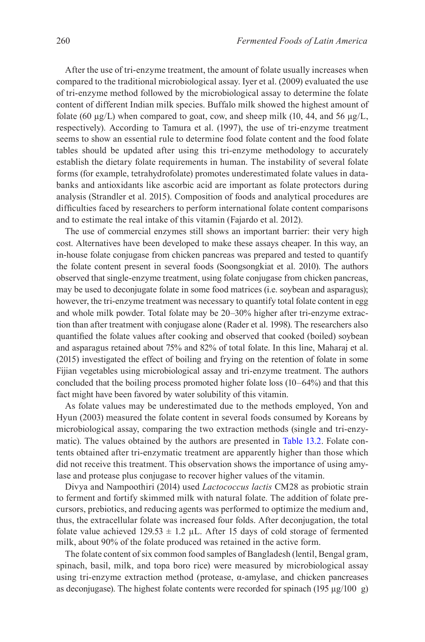After the use of tri-enzyme treatment, the amount of folate usually increases when compared to the traditional microbiological assay. Iyer et al. (2009) evaluated the use of tri-enzyme method followed by the microbiological assay to determine the folate content of different Indian milk species. Buffalo milk showed the highest amount of folate (60  $\mu$ g/L) when compared to goat, cow, and sheep milk (10, 44, and 56  $\mu$ g/L, respectively). According to Tamura et al. (1997), the use of tri-enzyme treatment seems to show an essential rule to determine food folate content and the food folate tables should be updated after using this tri-enzyme methodology to accurately establish the dietary folate requirements in human. The instability of several folate forms (for example, tetrahydrofolate) promotes underestimated folate values in databanks and antioxidants like ascorbic acid are important as folate protectors during analysis (Strandler et al. 2015). Composition of foods and analytical procedures are difficulties faced by researchers to perform international folate content comparisons and to estimate the real intake of this vitamin (Fajardo et al. 2012).

The use of commercial enzymes still shows an important barrier: their very high cost. Alternatives have been developed to make these assays cheaper. In this way, an in-house folate conjugase from chicken pancreas was prepared and tested to quantify the folate content present in several foods (Soongsongkiat et al. 2010). The authors observed that single-enzyme treatment, using folate conjugase from chicken pancreas, may be used to deconjugate folate in some food matrices (i.e. soybean and asparagus); however, the tri-enzyme treatment was necessary to quantify total folate content in egg and whole milk powder. Total folate may be 20–30% higher after tri-enzyme extraction than after treatment with conjugase alone (Rader et al. 1998). The researchers also quantified the folate values after cooking and observed that cooked (boiled) soybean and asparagus retained about 75% and 82% of total folate. In this line, Maharaj et al. (2015) investigated the effect of boiling and frying on the retention of folate in some Fijian vegetables using microbiological assay and tri-enzyme treatment. The authors concluded that the boiling process promoted higher folate loss (10–64%) and that this fact might have been favored by water solubility of this vitamin.

As folate values may be underestimated due to the methods employed, Yon and Hyun (2003) measured the folate content in several foods consumed by Koreans by microbiological assay, comparing the two extraction methods (single and tri-enzymatic). The values obtained by the authors are presented in [Table 13.2](#page--1-0). Folate contents obtained after tri-enzymatic treatment are apparently higher than those which did not receive this treatment. This observation shows the importance of using amylase and protease plus conjugase to recover higher values of the vitamin.

Divya and Nampoothiri (2014) used *Lactococcus lactis* CM28 as probiotic strain to ferment and fortify skimmed milk with natural folate. The addition of folate precursors, prebiotics, and reducing agents was performed to optimize the medium and, thus, the extracellular folate was increased four folds. After deconjugation, the total folate value achieved  $129.53 \pm 1.2 \mu L$ . After 15 days of cold storage of fermented milk, about 90% of the folate produced was retained in the active form.

The folate content of six common food samples of Bangladesh (lentil, Bengal gram, spinach, basil, milk, and topa boro rice) were measured by microbiological assay using tri-enzyme extraction method (protease, α-amylase, and chicken pancreases as deconjugase). The highest folate contents were recorded for spinach (195  $\mu$ g/100 g)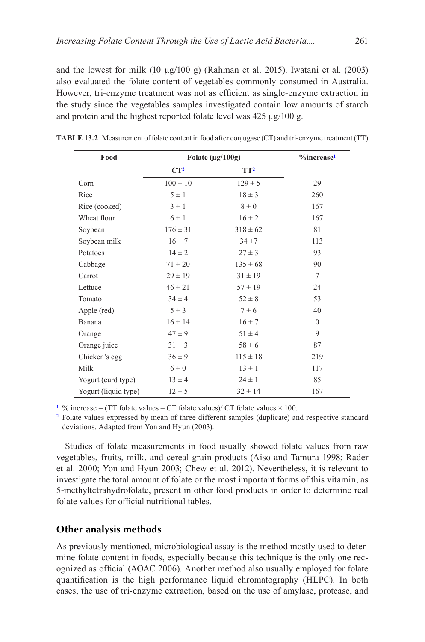and the lowest for milk  $(10 \mu g/100 g)$  (Rahman et al. 2015). Iwatani et al. (2003) also evaluated the folate content of vegetables commonly consumed in Australia. However, tri-enzyme treatment was not as efficient as single-enzyme extraction in the study since the vegetables samples investigated contain low amounts of starch and protein and the highest reported folate level was 425 µg/100 g.

| Food                 | Folate (µg/100g) |                 | %increase <sup>1</sup> |
|----------------------|------------------|-----------------|------------------------|
|                      | CT <sup>2</sup>  | TT <sup>2</sup> |                        |
| Corn                 | $100 \pm 10$     | $129 \pm 5$     | 29                     |
| Rice                 | $5 \pm 1$        | $18 \pm 3$      | 260                    |
| Rice (cooked)        | $3 \pm 1$        | $8\pm0$         | 167                    |
| Wheat flour          | $6 \pm 1$        | $16 \pm 2$      | 167                    |
| Soybean              | $176 \pm 31$     | $318 \pm 62$    | 81                     |
| Soybean milk         | $16 \pm 7$       | $34 + 7$        | 113                    |
| Potatoes             | $14 \pm 2$       | $27 \pm 3$      | 93                     |
| Cabbage              | $71 \pm 20$      | $135 \pm 68$    | 90                     |
| Carrot               | $29 \pm 19$      | $31 \pm 19$     | $\overline{7}$         |
| Lettuce              | $46 \pm 21$      | $57 \pm 19$     | 24                     |
| Tomato               | $34 \pm 4$       | $52 \pm 8$      | 53                     |
| Apple (red)          | $5 \pm 3$        | $7 \pm 6$       | 40                     |
| Banana               | $16 \pm 14$      | $16 \pm 7$      | $\theta$               |
| Orange               | $47 \pm 9$       | $51 \pm 4$      | 9                      |
| Orange juice         | $31 \pm 3$       | $58 \pm 6$      | 87                     |
| Chicken's egg        | $36 \pm 9$       | $115 \pm 18$    | 219                    |
| Milk                 | $6\pm0$          | $13 \pm 1$      | 117                    |
| Yogurt (curd type)   | $13 \pm 4$       | $24 \pm 1$      | 85                     |
| Yogurt (liquid type) | $12 \pm 5$       | $32 \pm 14$     | 167                    |

**TABLE 13.2** Measurement of folate content in food after conjugase (CT) and tri-enzyme treatment (TT)

<sup>[1](#page--1-0)</sup> % increase = (TT folate values – CT folate values)/ CT folate values  $\times$  100.

[2](#page--1-0) Folate values expressed by mean of three different samples (duplicate) and respective standard deviations. Adapted from Yon and Hyun (2003).

Studies of folate measurements in food usually showed folate values from raw vegetables, fruits, milk, and cereal-grain products (Aiso and Tamura 1998; Rader et al. 2000; Yon and Hyun 2003; Chew et al. 2012). Nevertheless, it is relevant to investigate the total amount of folate or the most important forms of this vitamin, as 5-methyltetrahydrofolate, present in other food products in order to determine real folate values for official nutritional tables.

#### **Other analysis methods**

As previously mentioned, microbiological assay is the method mostly used to determine folate content in foods, especially because this technique is the only one recognized as official (AOAC 2006). Another method also usually employed for folate quantification is the high performance liquid chromatography (HLPC). In both cases, the use of tri-enzyme extraction, based on the use of amylase, protease, and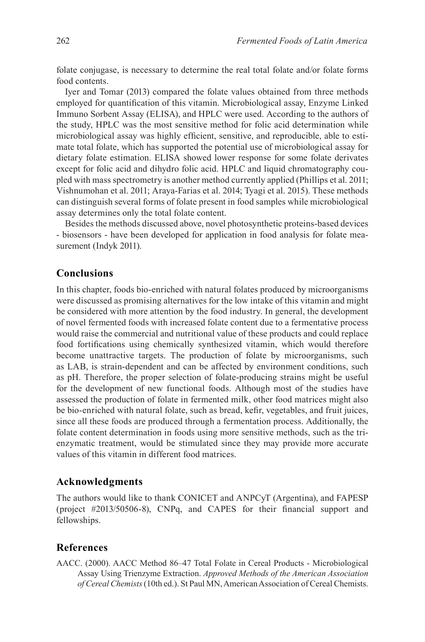folate conjugase, is necessary to determine the real total folate and/or folate forms food contents.

Iyer and Tomar (2013) compared the folate values obtained from three methods employed for quantification of this vitamin. Microbiological assay, Enzyme Linked Immuno Sorbent Assay (ELISA), and HPLC were used. According to the authors of the study, HPLC was the most sensitive method for folic acid determination while microbiological assay was highly efficient, sensitive, and reproducible, able to estimate total folate, which has supported the potential use of microbiological assay for dietary folate estimation. ELISA showed lower response for some folate derivates except for folic acid and dihydro folic acid. HPLC and liquid chromatography coupled with mass spectrometry is another method currently applied (Phillips et al. 2011; Vishnumohan et al. 2011; Araya-Farias et al. 2014; Tyagi et al. 2015). These methods can distinguish several forms of folate present in food samples while microbiological assay determines only the total folate content.

Besides the methods discussed above, novel photosynthetic proteins-based devices - biosensors - have been developed for application in food analysis for folate measurement (Indyk 2011).

# **Conclusions**

In this chapter, foods bio-enriched with natural folates produced by microorganisms were discussed as promising alternatives for the low intake of this vitamin and might be considered with more attention by the food industry. In general, the development of novel fermented foods with increased folate content due to a fermentative process would raise the commercial and nutritional value of these products and could replace food fortifications using chemically synthesized vitamin, which would therefore become unattractive targets. The production of folate by microorganisms, such as LAB, is strain-dependent and can be affected by environment conditions, such as pH. Therefore, the proper selection of folate-producing strains might be useful for the development of new functional foods. Although most of the studies have assessed the production of folate in fermented milk, other food matrices might also be bio-enriched with natural folate, such as bread, kefir, vegetables, and fruit juices, since all these foods are produced through a fermentation process. Additionally, the folate content determination in foods using more sensitive methods, such as the trienzymatic treatment, would be stimulated since they may provide more accurate values of this vitamin in different food matrices.

### **Acknowledgments**

The authors would like to thank CONICET and ANPCyT (Argentina), and FAPESP (project #2013/50506-8), CNPq, and CAPES for their financial support and fellowships.

# **References**

AACC. (2000). AACC Method 86–47 Total Folate in Cereal Products - Microbiological Assay Using Trienzyme Extraction. *Approved Methods of the American Association of Cereal Chemists* (10th ed.). St Paul MN, American Association of Cereal Chemists.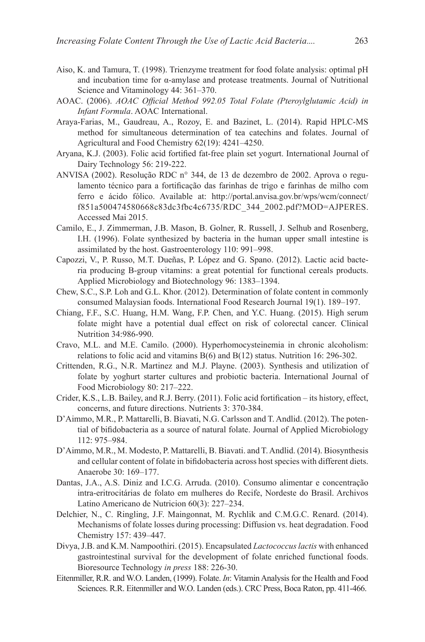- Aiso, K. and Tamura, T. (1998). Trienzyme treatment for food folate analysis: optimal pH and incubation time for α-amylase and protease treatments. Journal of Nutritional Science and Vitaminology 44: 361–370.
- AOAC. (2006). *AOAC Official Method 992.05 Total Folate (Pteroylglutamic Acid) in Infant Formula*. AOAC International.
- Araya-Farias, M., Gaudreau, A., Rozoy, E. and Bazinet, L. (2014). Rapid HPLC-MS method for simultaneous determination of tea catechins and folates. Journal of Agricultural and Food Chemistry 62(19): 4241–4250.
- Aryana, K.J. (2003). Folic acid fortified fat-free plain set yogurt. International Journal of Dairy Technology 56: 219-222.
- ANVISA (2002). Resolução RDC n° 344, de 13 de dezembro de 2002. Aprova o regulamento técnico para a fortificação das farinhas de trigo e farinhas de milho com ferro e ácido fólico. Available at: [http://portal.anvisa.gov.br/wps/wcm/connect/](http://portal.anvisa.gov.br/wps/wcm/connect/f851a500474580668c83dc3fbc4c6735/RDC_344_2002.pdf?MOD=AJPERES) [f851a500474580668c83dc3fbc4c6735/RDC\\_344\\_2002.pdf?MOD=AJPERES](http://portal.anvisa.gov.br/wps/wcm/connect/f851a500474580668c83dc3fbc4c6735/RDC_344_2002.pdf?MOD=AJPERES). Accessed Mai 2015.
- Camilo, E., J. Zimmerman, J.B. Mason, B. Golner, R. Russell, J. Selhub and Rosenberg, I.H. (1996). Folate synthesized by bacteria in the human upper small intestine is assimilated by the host. Gastroenterology 110: 991–998.
- Capozzi, V., P. Russo, M.T. Dueñas, P. López and G. Spano. (2012). Lactic acid bacteria producing B-group vitamins: a great potential for functional cereals products. Applied Microbiology and Biotechnology 96: 1383–1394.
- Chew, S.C., S.P. Loh and G.L. Khor. (2012). Determination of folate content in commonly consumed Malaysian foods. International Food Research Journal 19(1). 189–197.
- Chiang, F.F., S.C. Huang, H.M. Wang, F.P. Chen, and Y.C. Huang. (2015). High serum folate might have a potential dual effect on risk of colorectal cancer. Clinical Nutrition 34:986-990.
- Cravo, M.L. and M.E. Camilo. (2000). Hyperhomocysteinemia in chronic alcoholism: relations to folic acid and vitamins B(6) and B(12) status. Nutrition 16: 296-302.
- Crittenden, R.G., N.R. Martinez and M.J. Playne. (2003). Synthesis and utilization of folate by yoghurt starter cultures and probiotic bacteria. International Journal of Food Microbiology 80: 217–222.
- Crider, K.S., L.B. Bailey, and R.J. Berry. (2011). Folic acid fortification its history, effect, concerns, and future directions. Nutrients 3: 370-384.
- D'Aimmo, M.R., P. Mattarelli, B. Biavati, N.G. Carlsson and T. Andlid. (2012). The potential of bifidobacteria as a source of natural folate. Journal of Applied Microbiology 112: 975–984.
- D'Aimmo, M.R., M. Modesto, P. Mattarelli, B. Biavati. and T. Andlid. (2014). Biosynthesis and cellular content of folate in bifidobacteria across host species with different diets. Anaerobe 30: 169–177.
- Dantas, J.A., A.S. Diniz and I.C.G. Arruda. (2010). Consumo alimentar e concentração intra-eritrocitárias de folato em mulheres do Recife, Nordeste do Brasil. Archivos Latino Americano de Nutricion 60(3): 227–234.
- Delchier, N., C. Ringling, J.F. Maingonnat, M. Rychlik and C.M.G.C. Renard. (2014). Mechanisms of folate losses during processing: Diffusion vs. heat degradation. Food Chemistry 157: 439–447.
- Divya, J.B. and K.M. Nampoothiri. (2015). Encapsulated *Lactococcus lactis* with enhanced gastrointestinal survival for the development of folate enriched functional foods. Bioresource Technology *in press* 188: 226-30.
- Eitenmiller, R.R. and W.O. Landen, (1999). Folate. *In*: Vitamin Analysis for the Health and Food Sciences. R.R. Eitenmiller and W.O. Landen (eds.). CRC Press, Boca Raton, pp. 411-466.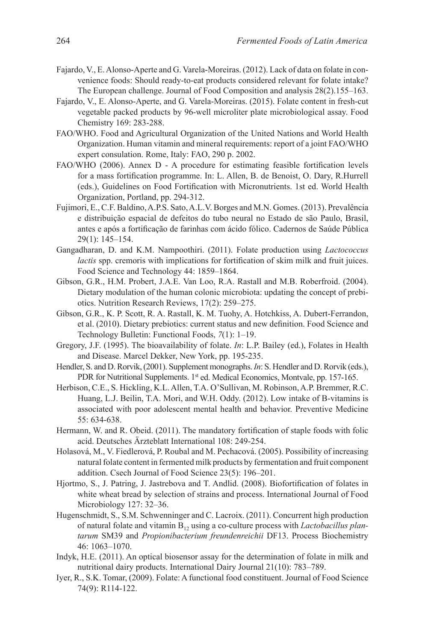- Fajardo, V., E. Alonso-Aperte and G. Varela-Moreiras. (2012). Lack of data on folate in convenience foods: Should ready-to-eat products considered relevant for folate intake? The European challenge. Journal of Food Composition and analysis 28(2).155–163.
- Fajardo, V., E. Alonso-Aperte, and G. Varela-Moreiras. (2015). Folate content in fresh-cut vegetable packed products by 96-well microliter plate microbiological assay. Food Chemistry 169: 283-288.
- FAO/WHO. Food and Agricultural Organization of the United Nations and World Health Organization. Human vitamin and mineral requirements: report of a joint FAO/WHO expert consulation. Rome, Italy: FAO, 290 p. 2002.
- FAO/WHO (2006). Annex D A procedure for estimating feasible fortification levels for a mass fortification programme. In: L. Allen, B. de Benoist, O. Dary, R.Hurrell (eds.), Guidelines on Food Fortification with Micronutrients. 1st ed. World Health Organization, Portland, pp. 294-312.
- Fujimori, E., C.F. Baldino, A.P.S. Sato, A.L.V. Borges and M.N. Gomes. (2013). Prevalência e distribuição espacial de defeitos do tubo neural no Estado de são Paulo, Brasil, antes e após a fortificação de farinhas com ácido fólico. Cadernos de Saúde Pública 29(1): 145–154.
- Gangadharan, D. and K.M. Nampoothiri. (2011). Folate production using *Lactococcus lactis* spp. cremoris with implications for fortification of skim milk and fruit juices. Food Science and Technology 44: 1859–1864.
- Gibson, G.R., H.M. Probert, J.A.E. Van Loo, R.A. Rastall and M.B. Roberfroid. (2004). Dietary modulation of the human colonic microbiota: updating the concept of prebiotics. Nutrition Research Reviews, 17(2): 259–275.
- Gibson, G.R., K. P. Scott, R. A. Rastall, K. M. Tuohy, A. Hotchkiss, A. Dubert-Ferrandon, et al. (2010). Dietary prebiotics: current status and new definition. Food Science and Technology Bulletin: Functional Foods, *7*(1): 1–19.
- Gregory, J.F. (1995). The bioavailability of folate. *In*: L.P. Bailey (ed.), Folates in Health and Disease. Marcel Dekker, New York, pp. 195-235.
- Hendler, S. and D. Rorvik, (2001). Supplement monographs. *In*: S. Hendler and D. Rorvik (eds.), PDR for Nutritional Supplements. 1<sup>st</sup> ed. Medical Economics, Montvale, pp. 157-165.
- Herbison, C.E., S. Hickling, K.L. Allen, T.A. O'Sullivan, M. Robinson, A.P. Bremmer, R.C. Huang, L.J. Beilin, T.A. Mori, and W.H. Oddy. (2012). Low intake of B-vitamins is associated with poor adolescent mental health and behavior. Preventive Medicine 55: 634-638.
- Hermann, W. and R. Obeid. (2011). The mandatory fortification of staple foods with folic acid. Deutsches Ärzteblatt International 108: 249-254.
- Holasová, M., V. Fiedlerová, P. Roubal and M. Pechacová. (2005). Possibility of increasing natural folate content in fermented milk products by fermentation and fruit component addition. Csech Journal of Food Science 23(5): 196–201.
- Hjortmo, S., J. Patring, J. Jastrebova and T. Andlid. (2008). Biofortification of folates in white wheat bread by selection of strains and process. International Journal of Food Microbiology 127: 32–36.
- Hugenschmidt, S., S.M. Schwenninger and C. Lacroix. (2011). Concurrent high production of natural folate and vitamin B12 using a co-culture process with *Lactobacillus plantarum* SM39 and *Propionibacterium freundenreichii* DF13. Process Biochemistry 46: 1063–1070.
- Indyk, H.E. (2011). An optical biosensor assay for the determination of folate in milk and nutritional dairy products. International Dairy Journal 21(10): 783–789.
- Iyer, R., S.K. Tomar, (2009). Folate: A functional food constituent. Journal of Food Science 74(9): R114-122.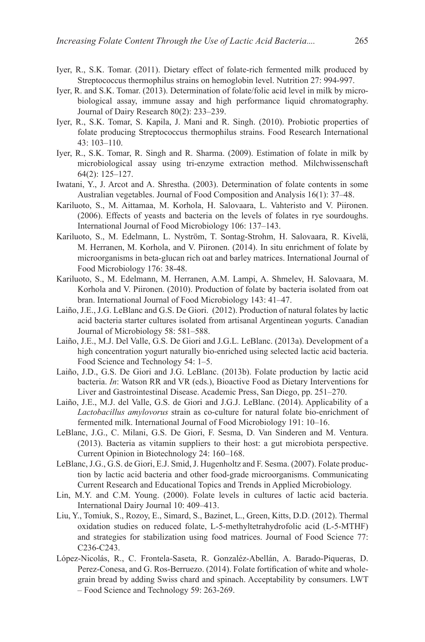- Iyer, R., S.K. Tomar. (2011). Dietary effect of folate-rich fermented milk produced by Streptococcus thermophilus strains on hemoglobin level. Nutrition 27: 994-997.
- Iyer, R. and S.K. Tomar. (2013). Determination of folate/folic acid level in milk by microbiological assay, immune assay and high performance liquid chromatography. Journal of Dairy Research 80(2): 233–239.
- Iyer, R., S.K. Tomar, S. Kapila, J. Mani and R. Singh. (2010). Probiotic properties of folate producing Streptococcus thermophilus strains. Food Research International 43: 103–110.
- Iyer, R., S.K. Tomar, R. Singh and R. Sharma. (2009). Estimation of folate in milk by microbiological assay using tri-enzyme extraction method. Milchwissenschaft 64(2): 125–127.
- Iwatani, Y., J. Arcot and A. Shrestha. (2003). Determination of folate contents in some Australian vegetables. Journal of Food Composition and Analysis 16(1): 37–48.
- Kariluoto, S., M. Aittamaa, M. Korhola, H. Salovaara, L. Vahteristo and V. Piironen. (2006). Effects of yeasts and bacteria on the levels of folates in rye sourdoughs. International Journal of Food Microbiology 106: 137–143.
- Kariluoto, S., M. Edelmann, L. Nyström, T. Sontag-Strohm, H. Salovaara, R. Kivelä, M. Herranen, M. Korhola, and V. Piironen. (2014). In situ enrichment of folate by microorganisms in beta-glucan rich oat and barley matrices. International Journal of Food Microbiology 176: 38-48.
- Kariluoto, S., M. Edelmann, M. Herranen, A.M. Lampi, A. Shmelev, H. Salovaara, M. Korhola and V. Piironen. (2010). Production of folate by bacteria isolated from oat bran. International Journal of Food Microbiology 143: 41–47.
- Laiño, J.E., J.G. LeBlanc and G.S. De Giori. (2012). Production of natural folates by lactic acid bacteria starter cultures isolated from artisanal Argentinean yogurts. Canadian Journal of Microbiology 58: 581–588.
- Laiño, J.E., M.J. Del Valle, G.S. De Giori and J.G.L. LeBlanc. (2013a). Development of a high concentration yogurt naturally bio-enriched using selected lactic acid bacteria. Food Science and Technology 54: 1–5.
- Laiño, J.D., G.S. De Giori and J.G. LeBlanc. (2013b). Folate production by lactic acid bacteria. *In*: Watson RR and VR (eds.), Bioactive Food as Dietary Interventions for Liver and Gastrointestinal Disease. Academic Press, San Diego, pp. 251–270.
- Laiño, J.E., M.J. del Valle, G.S. de Giori and J.G.J. LeBlanc. (2014). Applicability of a *Lactobacillus amylovorus* strain as co-culture for natural folate bio-enrichment of fermented milk. International Journal of Food Microbiology 191: 10–16.
- LeBlanc, J.G., C. Milani, G.S. De Giori, F. Sesma, D. Van Sinderen and M. Ventura. (2013). Bacteria as vitamin suppliers to their host: a gut microbiota perspective. Current Opinion in Biotechnology 24: 160–168.
- LeBlanc, J.G., G.S. de Giori, E.J. Smid, J. Hugenholtz and F. Sesma. (2007). Folate production by lactic acid bacteria and other food-grade microorganisms. Communicating Current Research and Educational Topics and Trends in Applied Microbiology.
- Lin, M.Y. and C.M. Young. (2000). Folate levels in cultures of lactic acid bacteria. International Dairy Journal 10: 409–413.
- Liu, Y., Tomiuk, S., Rozoy, E., Simard, S., Bazinet, L., Green, Kitts, D.D. (2012). Thermal oxidation studies on reduced folate, L-5-methyltetrahydrofolic acid (L-5-MTHF) and strategies for stabilization using food matrices. Journal of Food Science 77: C236-C243.
- López-Nicolás, R., C. Frontela-Saseta, R. Gonzaléz-Abellán, A. Barado-Piqueras, D. Perez-Conesa, and G. Ros-Berruezo. (2014). Folate fortification of white and wholegrain bread by adding Swiss chard and spinach. Acceptability by consumers. LWT – Food Science and Technology 59: 263-269.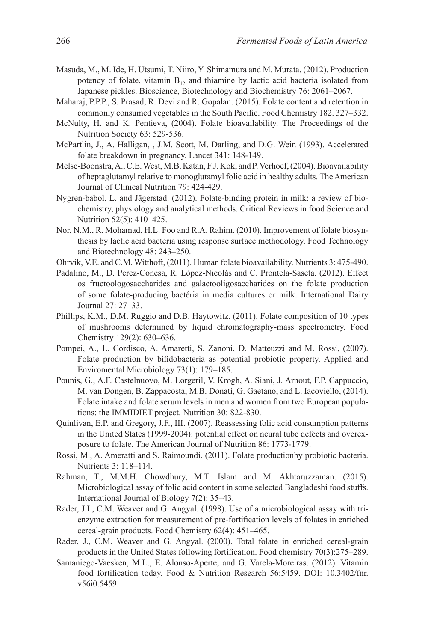- Masuda, M., M. Ide, H. Utsumi, T. Niiro, Y. Shimamura and M. Murata. (2012). Production potency of folate, vitamin  $B_{12}$  and thiamine by lactic acid bacteria isolated from Japanese pickles. Bioscience, Biotechnology and Biochemistry 76: 2061–2067.
- Maharaj, P.P.P., S. Prasad, R. Devi and R. Gopalan. (2015). Folate content and retention in commonly consumed vegetables in the South Pacific. Food Chemistry 182. 327–332.
- McNulty, H. and K. Pentieva, (2004). Folate bioavailability. The Proceedings of the Nutrition Society 63: 529-536.
- McPartlin, J., A. Halligan, , J.M. Scott, M. Darling, and D.G. Weir. (1993). Accelerated folate breakdown in pregnancy. Lancet 341: 148-149.
- Melse-Boonstra, A., C.E. West, M.B. Katan, F.J. Kok, and P. Verhoef, (2004). Bioavailability of heptaglutamyl relative to monoglutamyl folic acid in healthy adults. The American Journal of Clinical Nutrition 79: 424-429.
- Nygren-babol, L. and Jägerstad. (2012). Folate-binding protein in milk: a review of biochemistry, physiology and analytical methods. Critical Reviews in food Science and Nutrition 52(5): 410–425.
- Nor, N.M., R. Mohamad, H.L. Foo and R.A. Rahim. (2010). Improvement of folate biosynthesis by lactic acid bacteria using response surface methodology. Food Technology and Biotechnology 48: 243–250.
- Ohrvik, V.E. and C.M. Witthoft, (2011). Human folate bioavailability. Nutrients 3: 475-490.
- Padalino, M., D. Perez-Conesa, R. López-Nicolás and C. Prontela-Saseta. (2012). Effect os fructoologosaccharides and galactooligosaccharides on the folate production of some folate-producing bactéria in media cultures or milk. International Dairy Journal 27: 27–33.
- Phillips, K.M., D.M. Ruggio and D.B. Haytowitz. (2011). Folate composition of 10 types of mushrooms determined by liquid chromatography-mass spectrometry. Food Chemistry 129(2): 630–636.
- Pompei, A., L. Cordisco, A. Amaretti, S. Zanoni, D. Matteuzzi and M. Rossi, (2007). Folate production by bifidobacteria as potential probiotic property. Applied and Enviromental Microbiology 73(1): 179–185.
- Pounis, G., A.F. Castelnuovo, M. Lorgeril, V. Krogh, A. Siani, J. Arnout, F.P. Cappuccio, M. van Dongen, B. Zappacosta, M.B. Donati, G. Gaetano, and L. Iacoviello, (2014). Folate intake and folate serum levels in men and women from two European populations: the IMMIDIET project. Nutrition 30: 822-830.
- Quinlivan, E.P. and Gregory, J.F., III. (2007). Reassessing folic acid consumption patterns in the United States (1999-2004): potential effect on neural tube defects and overexposure to folate. The American Journal of Nutrition 86: 1773-1779.
- Rossi, M., A. Ameratti and S. Raimoundi. (2011). Folate productionby probiotic bacteria. Nutrients 3: 118–114.
- Rahman, T., M.M.H. Chowdhury, M.T. Islam and M. Akhtaruzzaman. (2015). Microbiological assay of folic acid content in some selected Bangladeshi food stuffs. International Journal of Biology 7(2): 35–43.
- Rader, J.I., C.M. Weaver and G. Angyal. (1998). Use of a microbiological assay with trienzyme extraction for measurement of pre-fortification levels of folates in enriched cereal-grain products. Food Chemistry 62(4): 451–465.
- Rader, J., C.M. Weaver and G. Angyal. (2000). Total folate in enriched cereal-grain products in the United States following fortification. Food chemistry 70(3):275–289.
- Samaniego-Vaesken, M.L., E. Alonso-Aperte, and G. Varela-Moreiras. (2012). Vitamin food fortification today. Food & Nutrition Research 56:5459. DOI: 10.3402/fnr. v56i0.5459.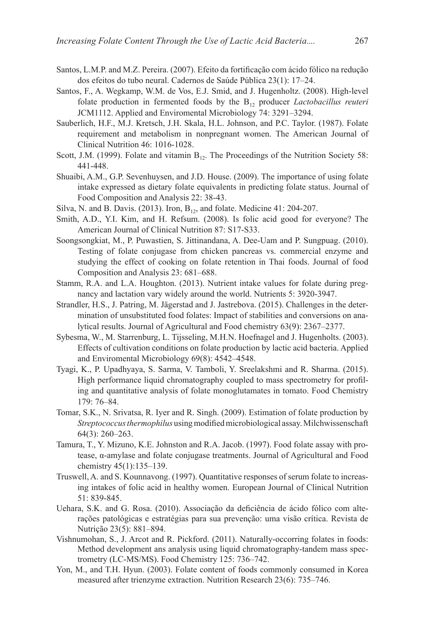- Santos, L.M.P. and M.Z. Pereira. (2007). Efeito da fortificação com ácido fólico na redução dos efeitos do tubo neural. Cadernos de Saúde Pública 23(1): 17–24.
- Santos, F., A. Wegkamp, W.M. de Vos, E.J. Smid, and J. Hugenholtz. (2008). High-level folate production in fermented foods by the B12 producer *Lactobacillus reuteri* JCM1112. Applied and Enviromental Microbiology 74: 3291–3294.
- Sauberlich, H.F., M.J. Kretsch, J.H. Skala, H.L. Johnson, and P.C. Taylor. (1987). Folate requirement and metabolism in nonpregnant women. The American Journal of Clinical Nutrition 46: 1016-1028.
- Scott, J.M. (1999). Folate and vitamin  $B_{12}$ . The Proceedings of the Nutrition Society 58: 441-448.
- Shuaibi, A.M., G.P. Sevenhuysen, and J.D. House. (2009). The importance of using folate intake expressed as dietary folate equivalents in predicting folate status. Journal of Food Composition and Analysis 22: 38-43.
- Silva, N. and B. Davis. (2013). Iron,  $B_{12}$ , and folate. Medicine 41: 204-207.
- Smith, A.D., Y.I. Kim, and H. Refsum. (2008). Is folic acid good for everyone? The American Journal of Clinical Nutrition 87: S17-S33.
- Soongsongkiat, M., P. Puwastien, S. Jittinandana, A. Dee-Uam and P. Sungpuag. (2010). Testing of folate conjugase from chicken pancreas vs. commercial enzyme and studying the effect of cooking on folate retention in Thai foods. Journal of food Composition and Analysis 23: 681–688.
- Stamm, R.A. and L.A. Houghton. (2013). Nutrient intake values for folate during pregnancy and lactation vary widely around the world. Nutrients 5: 3920-3947.
- Strandler, H.S., J. Patring, M. Jägerstad and J. Jastrebova. (2015). Challenges in the determination of unsubstituted food folates: Impact of stabilities and conversions on analytical results. Journal of Agricultural and Food chemistry 63(9): 2367–2377.
- Sybesma, W., M. Starrenburg, L. Tijsseling, M.H.N. Hoefnagel and J. Hugenholts. (2003). Effects of cultivation conditions on folate production by lactic acid bacteria. Applied and Enviromental Microbiology 69(8): 4542–4548.
- Tyagi, K., P. Upadhyaya, S. Sarma, V. Tamboli, Y. Sreelakshmi and R. Sharma. (2015). High performance liquid chromatography coupled to mass spectrometry for profiling and quantitative analysis of folate monoglutamates in tomato. Food Chemistry 179: 76–84.
- Tomar, S.K., N. Srivatsa, R. Iyer and R. Singh. (2009). Estimation of folate production by *Streptococcus thermophilus* using modified microbiological assay. Milchwissenschaft 64(3): 260–263.
- Tamura, T., Y. Mizuno, K.E. Johnston and R.A. Jacob. (1997). Food folate assay with protease, α-amylase and folate conjugase treatments. Journal of Agricultural and Food chemistry 45(1):135–139.
- Truswell, A. and S. Kounnavong. (1997). Quantitative responses of serum folate to increasing intakes of folic acid in healthy women. European Journal of Clinical Nutrition 51: 839-845.
- Uehara, S.K. and G. Rosa. (2010). Associação da deficiência de ácido fólico com alterações patológicas e estratégias para sua prevenção: uma visão crítica. Revista de Nutrição 23(5): 881–894.
- Vishnumohan, S., J. Arcot and R. Pickford. (2011). Naturally-occorring folates in foods: Method development ans analysis using liquid chromatography-tandem mass spectrometry (LC-MS/MS). Food Chemistry 125: 736–742.
- Yon, M., and T.H. Hyun. (2003). Folate content of foods commonly consumed in Korea measured after trienzyme extraction. Nutrition Research 23(6): 735–746.